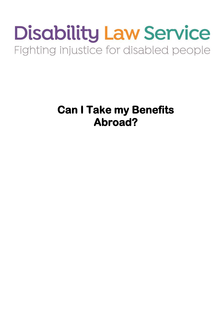# **Disability Law Service** Fighting injustice for disabled people

**Can I Take my Benefits Abroad?**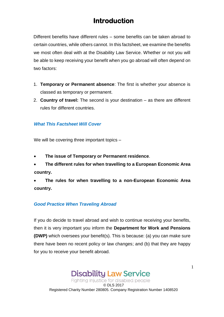# **Introduction**

Different benefits have different rules – some benefits can be taken abroad to certain countries, while others cannot. In this factsheet, we examine the benefits we most often deal with at the Disability Law Service. Whether or not you will be able to keep receiving your benefit when you go abroad will often depend on two factors:

- 1. **Temporary or Permanent absence**: The first is whether your absence is classed as temporary or permanent.
- 2. **Country of travel:** The second is your destination as there are different rules for different countries.

#### *What This Factsheet Will Cover*

We will be covering three important topics -

- **The issue of Temporary or Permanent residence**.
- **The different rules for when travelling to a European Economic Area country.**
- **The rules for when travelling to a non-European Economic Area country.**

#### *Good Practice When Traveling Abroad*

If you do decide to travel abroad and wish to continue receiving your benefits, then it is very important you inform the **Department for Work and Pensions (DWP)** which oversees your benefit(s). This is because: (a) you can make sure there have been no recent policy or law changes; and (b) that they are happy for you to receive your benefit abroad.

**Disability Law Service** Fighting injustice for disabled people © DLS 2017 Registered Charity Number 280805. Company Registration Number 1408520 1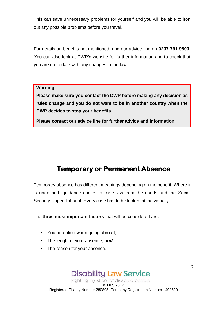This can save unnecessary problems for yourself and you will be able to iron out any possible problems before you travel.

For details on benefits not mentioned, ring our advice line on **0207 791 9800**. You can also look at DWP's website for further information and to check that you are up to date with any changes in the law.

#### **Warning:**

**Please make sure you contact the DWP before making any decision as rules change and you do not want to be in another country when the DWP decides to stop your benefits.** 

**Please contact our advice line for further advice and information.** 

# **Temporary or Permanent Absence**

Temporary absence has different meanings depending on the benefit. Where it is undefined, guidance comes in case law from the courts and the Social Security Upper Tribunal. Every case has to be looked at individually.

The **three most important factors** that will be considered are:

- Your intention when going abroad;
- The length of your absence; *and*
- The reason for your absence.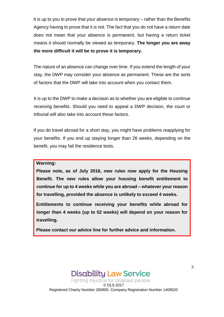It is up to you to prove that your absence is temporary – rather than the Benefits Agency having to prove that it is not. The fact that you do not have a return date does not mean that your absence is permanent, but having a return ticket means it should normally be viewed as temporary. **The longer you are away the more difficult it will be to prove it is temporary.** 

The nature of an absence can change over time. If you extend the length of your stay, the DWP may consider your absence as permanent. These are the sorts of factors that the DWP will take into account when you contact them.

It is up to the DWP to make a decision as to whether you are eligible to continue receiving benefits. Should you need to appeal a DWP decision, the court or tribunal will also take into account these factors.

If you do travel abroad for a short stay, you might have problems reapplying for your benefits. If you end up staying longer than 26 weeks, depending on the benefit, you may fail the residence tests.

**Warning:** 

**Please note, as of July 2016, new rules now apply for the Housing Benefit. The new rules allow your housing benefit entitlement to continue for up to 4 weeks while you are abroad – whatever your reason for travelling, provided the absence is unlikely to exceed 4 weeks.**

**Entitlements to continue receiving your benefits while abroad for longer than 4 weeks (up to 52 weeks) will depend on your reason for travelling.**

**Please contact our advice line for further advice and information.**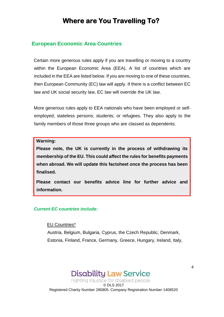# **Where are You Travelling To?**

### **European Economic Area Countries**

Certain more generous rules apply if you are travelling or moving to a country within the European Economic Area (EEA). A list of countries which are included in the EEA are listed below. If you are moving to one of these countries, then European Community (EC) law will apply. If there is a conflict between EC law and UK social security law, EC law will override the UK law.

More generous rules apply to EEA nationals who have been employed or selfemployed; stateless persons; students; or refugees. They also apply to the family members of those three groups who are classed as dependents.

**Warning:** 

**Please note, the UK is currently in the process of withdrawing its membership of the EU. This could affect the rules for benefits payments when abroad. We will update this factsheet once the process has been finalised.**

**Please contact our benefits advice line for further advice and information.** 

#### *Current EC countries include:*

#### EU Countries\*

Austria, Belgium, Bulgaria, Cyprus, the Czech Republic, Denmark, Estonia, Finland, France, Germany, Greece, Hungary, Ireland, Italy,

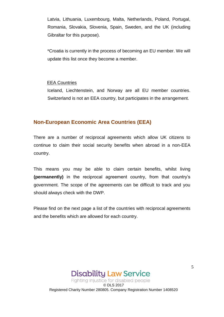Latvia, Lithuania, Luxembourg, Malta, Netherlands, Poland, Portugal, Romania, Slovakia, Slovenia, Spain, Sweden, and the UK (including Gibraltar for this purpose).

\*Croatia is currently in the process of becoming an EU member. We will update this list once they become a member.

#### EEA Countries

Iceland, Liechtenstein, and Norway are all EU member countries. Switzerland is not an EEA country, but participates in the arrangement.

#### **Non-European Economic Area Countries (EEA)**

There are a number of reciprocal agreements which allow UK citizens to continue to claim their social security benefits when abroad in a non-EEA country.

This means you may be able to claim certain benefits, whilst living **(permanently)** in the reciprocal agreement country, from that country's government. The scope of the agreements can be difficult to track and you should always check with the DWP.

Please find on the next page a list of the countries with reciprocal agreements and the benefits which are allowed for each country.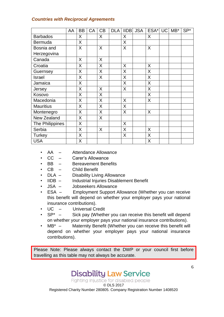#### *Countries with Reciprocal Agreements*

|                  | AA | <b>BB</b> | CA | CB | <b>DLA</b> | <b>IIDB</b> | <b>JSA</b> | ESA* UC MB* |  | $SP*$ |
|------------------|----|-----------|----|----|------------|-------------|------------|-------------|--|-------|
| <b>Barbados</b>  |    | X         |    | X  |            | X           |            | X           |  |       |
| <b>Bermuda</b>   |    | X         |    |    |            | X           |            |             |  |       |
| Bosnia and       |    | X         |    | X  |            | X           |            | X           |  |       |
| Herzegovina      |    |           |    |    |            |             |            |             |  |       |
| Canada           |    | X         |    | X  |            |             |            |             |  |       |
| Croatia          |    | X         |    | X  |            | X           |            | X           |  |       |
| Guernsey         |    | X         |    | X  |            | X           |            | X           |  |       |
| Israel           |    | X         |    | X  |            | X           |            | X           |  |       |
| Jamaica          |    | X         |    |    |            | X           |            | X           |  |       |
| Jersey           |    | X         |    | X  |            | X           |            | X           |  |       |
| Kosovo           |    | X         |    | X  |            |             |            | X           |  |       |
| Macedonia        |    | X         |    | X  |            | X           |            | X           |  |       |
| <b>Mauritius</b> |    | X         |    | X  |            | X           |            |             |  |       |
| Montenegro       |    | X         |    | X  |            | X           |            | X           |  |       |
| New Zealand      |    | X         |    | X  |            |             |            |             |  |       |
| The Philippines  |    | X         |    |    |            | X           |            |             |  |       |
| Serbia           |    | X         |    | X  |            | X           |            | X           |  |       |
| Turkey           |    | X         |    |    |            | X           |            | X           |  |       |
| <b>USA</b>       |    | X         |    |    |            |             |            | Χ           |  |       |

- AA Attendance Allowance
- CC Carer's Allowance
- BB Bereavement Benefits
- 
- CB Child Benefit<br>
DLA Disability Livir • DLA – Disability Living Allowance
- IIDB Industrial Injuries Disablement Benefit
- JSA Jobseekers Allowance
- ESA Employment Support Allowance (Whether you can receive this benefit will depend on whether your employer pays your national insurance contributions).
- UC Universal Credit
- $SP^*$  Sick pay (Whether you can receive this benefit will depend on whether your employer pays your national insurance contributions).
- MB<sup>\*</sup> Maternity Benefit (Whether you can receive this benefit will depend on whether your employer pays your national insurance contributions).

Please Note: Please always contact the DWP or your council first before travelling as this table may not always be accurate.

**Disability Law Service**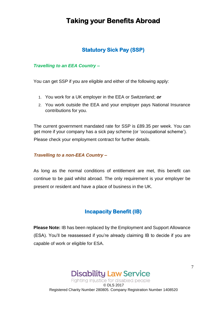# **Taking your Benefits Abroad**

## **Statutory Sick Pay (SSP)**

#### *Travelling to an EEA Country –*

You can get SSP if you are eligible and either of the following apply:

- 1. You work for a UK employer in the EEA or Switzerland; *or*
- 2. You work outside the EEA and your employer pays National Insurance contributions for you.

The current government mandated rate for SSP is £89.35 per week. You can get more if your company has a sick pay scheme (or 'occupational scheme'). Please check your employment contract for further details.

#### *Travelling to a non-EEA Country –*

As long as the normal conditions of entitlement are met, this benefit can continue to be paid whilst abroad. The only requirement is your employer be present or resident and have a place of business in the UK.

## **Incapacity Benefit (IB)**

**Please Note:** IB has been replaced by the Employment and Support Allowance (ESA). You'll be reassessed if you're already claiming IB to decide if you are capable of work or eligible for ESA.

> **Disability Law Service** Fighting injustice for disabled people

© DLS 2017 Registered Charity Number 280805. Company Registration Number 1408520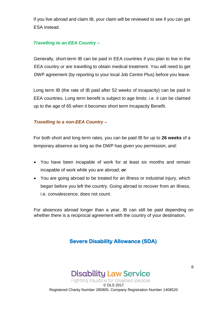If you live abroad and claim IB, your claim will be reviewed to see if you can get ESA instead.

#### *Travelling to an EEA Country –*

Generally, short-term IB can be paid in EEA countries if you plan to live in the EEA country or are travelling to obtain medical treatment. You will need to get DWP agreement (by reporting to your local Job Centre Plus) before you leave.

Long term IB (the rate of IB paid after 52 weeks of incapacity) can be paid in EEA countries. Long term benefit is subject to age limits: i.e. it can be claimed up to the age of 65 when it becomes short term Incapacity Benefit.

#### *Travelling to a non-EEA Country –*

For both short and long term rates, you can be paid IB for up to **26 weeks** of a temporary absence as long as the DWP has given you permission, and:

- You have been incapable of work for at least six months and remain incapable of work while you are abroad; *or*
- You are going abroad to be treated for an illness or industrial injury, which began before you left the country. Going abroad to recover from an illness, i.e. convalescence, does not count.

For absences abroad longer than a year, IB can still be paid depending on whether there is a reciprocal agreement with the country of your destination.

# **Severe Disability Allowance (SDA)**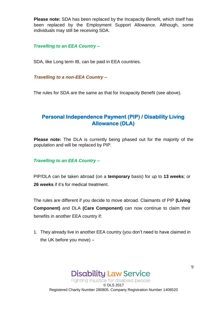**Please note:** SDA has been replaced by the Incapacity Benefit, which itself has been replaced by the Employment Support Allowance. Although, some individuals may still be receiving SDA.

*Travelling to an EEA Country –*

SDA, like Long term IB, can be paid in EEA countries.

*Travelling to a non-EEA Country –*

The rules for SDA are the same as that for Incapacity Benefit (see above).

# **Personal Independence Payment (PIP) / Disability Living Allowance (DLA)**

**Please note:** The DLA is currently being phased out for the majority of the population and will be replaced by PIP.

#### *Travelling to an EEA Country –*

PIP/DLA can be taken abroad (on a **temporary** basis) for up to **13 weeks**; or **26 weeks** if it's for medical treatment.

The rules are different if you decide to move abroad. Claimants of PIP **(Living Component)** and DLA **(Care Component)** can now continue to claim their benefits in another EEA country if:

1. They already live in another EEA country (you don't need to have claimed in the UK before you move) –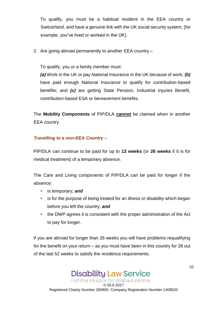To qualify, you must be a habitual resident in the EEA country or Switzerland, and have a genuine link with the UK social security system, (for example, you've lived or worked in the UK).

2. Are going abroad permanently to another EEA country –

To qualify, you or a family member must:

*(a)* Work in the UK or pay National Insurance in the UK because of work; *(b)* have paid enough National Insurance to qualify for contribution-based benefits; and *(c)* are getting State Pension, Industrial Injuries Benefit, contribution-based ESA or bereavement benefits.

The **Mobility Components** of PIP/DLA **cannot** be claimed when in another EEA country.

### *Travelling to a non-EEA Country –*

PIP/DLA can continue to be paid for up to **13 weeks** (or **26 weeks** if it is for medical treatment) of a temporary absence.

The Care and Living components of PIP/DLA can be paid for longer if the absence:

- is temporary; *and*
- is for the purpose of being treated for an illness or disability which began before you left the country; *and*
- the DWP agrees it is consistent with the proper administration of the Act to pay for longer.

If you are abroad for longer than 26 weeks you will have problems requalifying for the benefit on your return – as you must have been in this country for 26 out of the last 52 weeks to satisfy the residence requirements.

10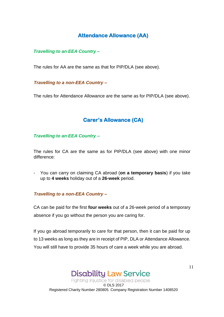# **Attendance Allowance (AA)**

#### *Travelling to an EEA Country –*

The rules for AA are the same as that for PIP/DLA (see above).

#### *Travelling to a non-EEA Country –*

The rules for Attendance Allowance are the same as for PIP/DLA (see above).

### **Carer's Allowance (CA)**

*Travelling to an EEA Country –*

The rules for CA are the same as for PIP/DLA (see above) with one minor difference:

- You can carry on claiming CA abroad (**on a temporary basis**) if you take up to **4 weeks** holiday out of a **26-week** period.

#### *Travelling to a non-EEA Country –*

CA can be paid for the first **four weeks** out of a 26-week period of a temporary absence if you go without the person you are caring for.

If you go abroad temporarily to care for that person, then it can be paid for up to 13 weeks as long as they are in receipt of PIP, DLA or Attendance Allowance. You will still have to provide 35 hours of care a week while you are abroad.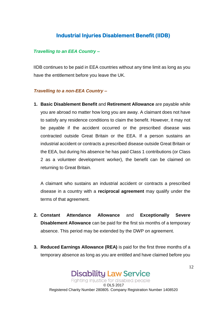### **Industrial Injuries Disablement Benefit (IIDB)**

#### *Travelling to an EEA Country –*

IIDB continues to be paid in EEA countries without any time limit as long as you have the entitlement before you leave the UK.

#### *Travelling to a non-EEA Country –*

**1. Basic Disablement Benefit** and **Retirement Allowance** are payable while you are abroad no matter how long you are away. A claimant does not have to satisfy any residence conditions to claim the benefit. However, it may not be payable if the accident occurred or the prescribed disease was contracted outside Great Britain or the EEA. If a person sustains an industrial accident or contracts a prescribed disease outside Great Britain or the EEA, but during his absence he has paid Class 1 contributions (or Class 2 as a volunteer development worker), the benefit can be claimed on returning to Great Britain.

A claimant who sustains an industrial accident or contracts a prescribed disease in a country with a **reciprocal agreement** may qualify under the terms of that agreement.

- **2. Constant Attendance Allowance** and **Exceptionally Severe Disablement Allowance** can be paid for the first six months of a temporary absence. This period may be extended by the DWP on agreement.
- **3. Reduced Earnings Allowance (REA)** is paid for the first three months of a temporary absence as long as you are entitled and have claimed before you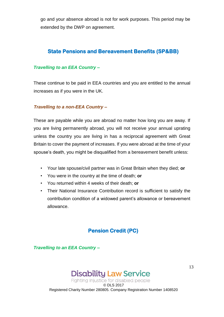go and your absence abroad is not for work purposes. This period may be extended by the DWP on agreement.

### **State Pensions and Bereavement Benefits (SP&BB)**

#### *Travelling to an EEA Country –*

These continue to be paid in EEA countries and you are entitled to the annual increases as if you were in the UK.

#### *Travelling to a non-EEA Country –*

These are payable while you are abroad no matter how long you are away. If you are living permanently abroad, you will not receive your annual uprating unless the country you are living in has a reciprocal agreement with Great Britain to cover the payment of increases. If you were abroad at the time of your spouse's death, you might be disqualified from a bereavement benefit unless:

- Your late spouse/civil partner was in Great Britain when they died; **or**
- You were in the country at the time of death; **or**
- You returned within 4 weeks of their death; **or**
- Their National Insurance Contribution record is sufficient to satisfy the contribution condition of a widowed parent's allowance or bereavement allowance.

## **Pension Credit (PC)**

*Travelling to an EEA Country –*

# **Disability Law Service**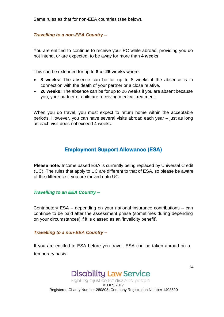Same rules as that for non-EEA countries (see below).

#### *Travelling to a non-EEA Country –*

You are entitled to continue to receive your PC while abroad, providing you do not intend, or are expected, to be away for more than **4 weeks.**

This can be extended for up to **8 or 26 weeks** where:

- **8 weeks:** The absence can be for up to 8 weeks if the absence is in connection with the death of your partner or a close relative.
- **26 weeks:** The absence can be for up to 26 weeks if you are absent because you, your partner or child are receiving medical treatment.

When you do travel, you must expect to return home within the acceptable periods. However, you can have several visits abroad each year – just as long as each visit does not exceed 4 weeks.

### **Employment Support Allowance (ESA)**

**Please note:** Income based ESA is currently being replaced by Universal Credit (UC). The rules that apply to UC are different to that of ESA, so please be aware of the difference if you are moved onto UC.

#### *Travelling to an EEA Country –*

Contributory ESA – depending on your national insurance contributions – can continue to be paid after the assessment phase (sometimes during depending on your circumstances) if it is classed as an 'invalidity benefit'.

#### *Travelling to a non-EEA Country –*

If you are entitled to ESA before you travel, ESA can be taken abroad on a temporary basis:

# **Disability Law Service**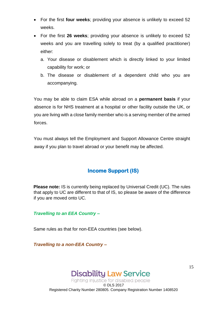- For the first **four weeks**; providing your absence is unlikely to exceed 52 weeks.
- For the first **26 weeks**; providing your absence is unlikely to exceed 52 weeks and you are travelling solely to treat (by a qualified practitioner) either:
	- a. Your disease or disablement which is directly linked to your limited capability for work; or
	- b. The disease or disablement of a dependent child who you are accompanying.

You may be able to claim ESA while abroad on a **permanent basis** if your absence is for NHS treatment at a hospital or other facility outside the UK, or you are living with a close family member who is a serving member of the armed forces.

You must always tell the Employment and Support Allowance Centre straight away if you plan to travel abroad or your benefit may be affected.

# **Income Support (IS)**

**Please note:** IS is currently being replaced by Universal Credit (UC). The rules that apply to UC are different to that of IS, so please be aware of the difference if you are moved onto UC.

*Travelling to an EEA Country –*

Same rules as that for non-EEA countries (see below).

*Travelling to a non-EEA Country –*

# **Disability Law Service**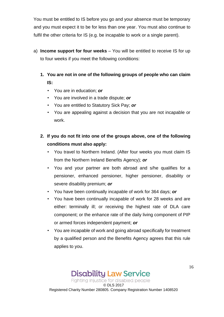You must be entitled to IS before you go and your absence must be temporary and you must expect it to be for less than one year. You must also continue to fulfil the other criteria for IS (e.g. be incapable to work or a single parent).

- a) **Income support for four weeks** You will be entitled to receive IS for up to four weeks if you meet the following conditions:
	- **1. You are not in one of the following groups of people who can claim IS:**
		- You are in education; *or*
		- You are involved in a trade dispute; *or*
		- You are entitled to Statutory Sick Pay; *or*
		- You are appealing against a decision that you are not incapable or work.
	- **2. If you do not fit into one of the groups above, one of the following conditions must also apply:** 
		- You travel to Northern Ireland. (After four weeks you must claim IS from the Northern Ireland Benefits Agency); *or*
		- You and your partner are both abroad and s/he qualifies for a pensioner, enhanced pensioner, higher pensioner, disability or severe disability premium; *or*
		- You have been continually incapable of work for 364 days; *or*
		- You have been continually incapable of work for 28 weeks and are either: terminally ill; or receiving the highest rate of DLA care component; or the enhance rate of the daily living component of PIP or armed forces independent payment; *or*
		- You are incapable of work and going abroad specifically for treatment by a qualified person and the Benefits Agency agrees that this rule applies to you.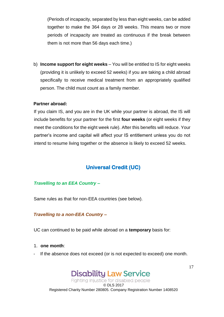(Periods of incapacity, separated by less than eight weeks, can be added together to make the 364 days or 28 weeks. This means two or more periods of incapacity are treated as continuous if the break between them is not more than 56 days each time.)

b) **Income support for eight weeks** – You will be entitled to IS for eight weeks (providing it is unlikely to exceed 52 weeks) if you are taking a child abroad specifically to receive medical treatment from an appropriately qualified person. The child must count as a family member.

#### **Partner abroad:**

If you claim IS, and you are in the UK while your partner is abroad, the IS will include benefits for your partner for the first **four weeks** (or eight weeks if they meet the conditions for the eight week rule). After this benefits will reduce. Your partner's income and capital will affect your IS entitlement unless you do not intend to resume living together or the absence is likely to exceed 52 weeks.

## **Universal Credit (UC)**

#### *Travelling to an EEA Country –*

Same rules as that for non-EEA countries (see below).

#### *Travelling to a non-EEA Country –*

UC can continued to be paid while abroad on a **temporary** basis for:

#### 1. **one month**:

- If the absence does not exceed (or is not expected to exceed) one month.

# **Disability Law Service**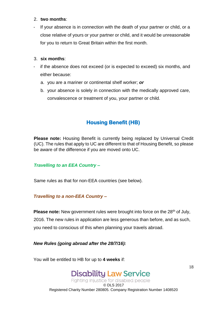#### 2. **two months**:

- If your absence is in connection with the death of your partner or child, or a close relative of yours or your partner or child, and it would be unreasonable for you to return to Great Britain within the first month.

#### 3. **six months**:

- if the absence does not exceed (or is expected to exceed) six months, and either because:
	- a. you are a mariner or continental shelf worker; *or*
	- b. your absence is solely in connection with the medically approved care, convalescence or treatment of you, your partner or child.

# **Housing Benefit (HB)**

**Please note:** Housing Benefit is currently being replaced by Universal Credit (UC). The rules that apply to UC are different to that of Housing Benefit, so please be aware of the difference if you are moved onto UC.

#### *Travelling to an EEA Country –*

Same rules as that for non-EEA countries (see below).

#### *Travelling to a non-EEA Country –*

**Please note:** New government rules were brought into force on the 28<sup>th</sup> of July, 2016. The new rules in application are less generous than before, and as such, you need to conscious of this when planning your travels abroad.

*New Rules (going abroad after the 28/7/16):*

You will be entitled to HB for up to **4 weeks** if:

18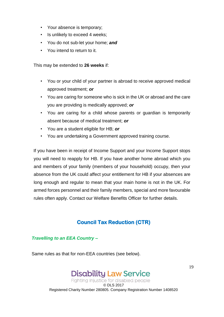- Your absence is temporary;
- Is unlikely to exceed 4 weeks;
- You do not sub-let your home; *and*
- You intend to return to it.

This may be extended to **26 weeks** if:

- You or your child of your partner is abroad to receive approved medical approved treatment; *or*
- You are caring for someone who is sick in the UK or abroad and the care you are providing is medically approved; *or*
- You are caring for a child whose parents or guardian is temporarily absent because of medical treatment; *or*
- You are a student eligible for HB; *or*
- You are undertaking a Government approved training course.

If you have been in receipt of Income Support and your Income Support stops you will need to reapply for HB. If you have another home abroad which you and members of your family (members of your household) occupy, then your absence from the UK could affect your entitlement for HB if your absences are long enough and regular to mean that your main home is not in the UK. For armed forces personnel and their family members, special and more favourable rules often apply. Contact our Welfare Benefits Officer for further details.

# **Council Tax Reduction (CTR)**

#### *Travelling to an EEA Country –*

Same rules as that for non-EEA countries (see below).

# **Disability Law Service**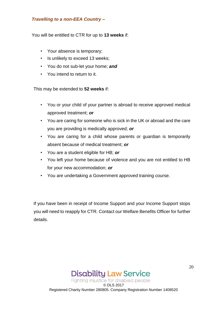#### *Travelling to a non-EEA Country –*

You will be entitled to CTR for up to **13 weeks** if:

- Your absence is temporary;
- Is unlikely to exceed 13 weeks;
- You do not sub-let your home; *and*
- You intend to return to it.

This may be extended to **52 weeks** if:

- You or your child of your partner is abroad to receive approved medical approved treatment; *or*
- You are caring for someone who is sick in the UK or abroad and the care you are providing is medically approved; *or*
- You are caring for a child whose parents or guardian is temporarily absent because of medical treatment; *or*
- You are a student eligible for HB; *or*
- You left your home because of violence and you are not entitled to HB for your new accommodation; *or*
- You are undertaking a Government approved training course.

If you have been in receipt of Income Support and your Income Support stops you will need to reapply for CTR. Contact our Welfare Benefits Officer for further details.